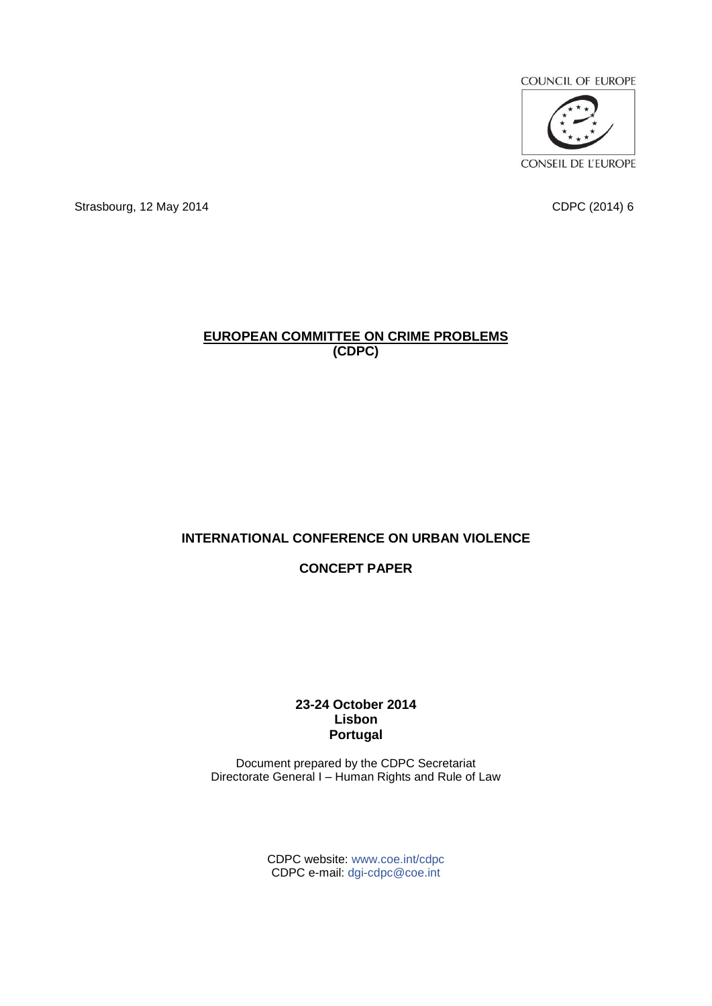

CONSEIL DE L'EUROPE

Strasbourg, 12 May 2014 CDPC (2014) 6

#### **EUROPEAN COMMITTEE ON CRIME PROBLEMS (CDPC)**

# **INTERNATIONAL CONFERENCE ON URBAN VIOLENCE**

## **CONCEPT PAPER**

#### **23-24 October 2014 Lisbon Portugal**

Document prepared by the CDPC Secretariat Directorate General I – Human Rights and Rule of Law

> CDPC website: [www.coe.int/cdpc](http://www.coe.int/cdpc) CDPC e-mail: [dgi-cdpc@coe.int](mailto:dgi-cdpc@coe.int)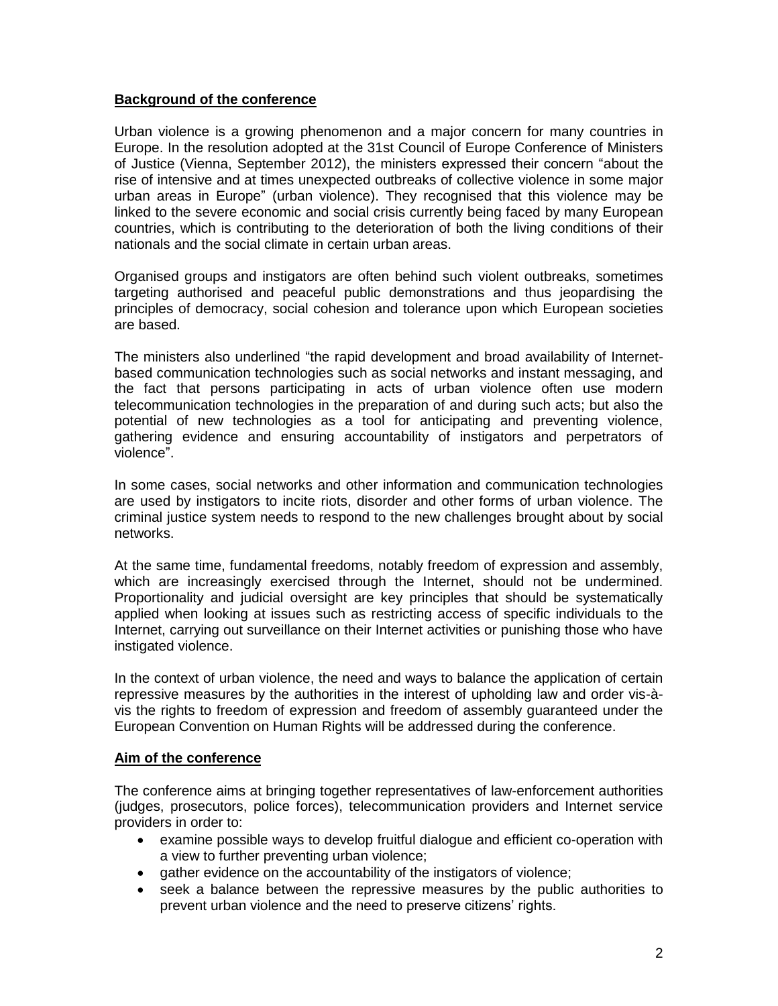## **Background of the conference**

Urban violence is a growing phenomenon and a major concern for many countries in Europe. In the resolution adopted at the 31st Council of Europe Conference of Ministers of Justice (Vienna, September 2012), the ministers expressed their concern "about the rise of intensive and at times unexpected outbreaks of collective violence in some major urban areas in Europe" (urban violence). They recognised that this violence may be linked to the severe economic and social crisis currently being faced by many European countries, which is contributing to the deterioration of both the living conditions of their nationals and the social climate in certain urban areas.

Organised groups and instigators are often behind such violent outbreaks, sometimes targeting authorised and peaceful public demonstrations and thus jeopardising the principles of democracy, social cohesion and tolerance upon which European societies are based.

The ministers also underlined "the rapid development and broad availability of Internetbased communication technologies such as social networks and instant messaging, and the fact that persons participating in acts of urban violence often use modern telecommunication technologies in the preparation of and during such acts; but also the potential of new technologies as a tool for anticipating and preventing violence, gathering evidence and ensuring accountability of instigators and perpetrators of violence".

In some cases, social networks and other information and communication technologies are used by instigators to incite riots, disorder and other forms of urban violence. The criminal justice system needs to respond to the new challenges brought about by social networks.

At the same time, fundamental freedoms, notably freedom of expression and assembly, which are increasingly exercised through the Internet, should not be undermined. Proportionality and judicial oversight are key principles that should be systematically applied when looking at issues such as restricting access of specific individuals to the Internet, carrying out surveillance on their Internet activities or punishing those who have instigated violence.

In the context of urban violence, the need and ways to balance the application of certain repressive measures by the authorities in the interest of upholding law and order vis-àvis the rights to freedom of expression and freedom of assembly guaranteed under the European Convention on Human Rights will be addressed during the conference.

### **Aim of the conference**

The conference aims at bringing together representatives of law-enforcement authorities (judges, prosecutors, police forces), telecommunication providers and Internet service providers in order to:

- examine possible ways to develop fruitful dialogue and efficient co-operation with a view to further preventing urban violence;
- gather evidence on the accountability of the instigators of violence;
- seek a balance between the repressive measures by the public authorities to prevent urban violence and the need to preserve citizens' rights.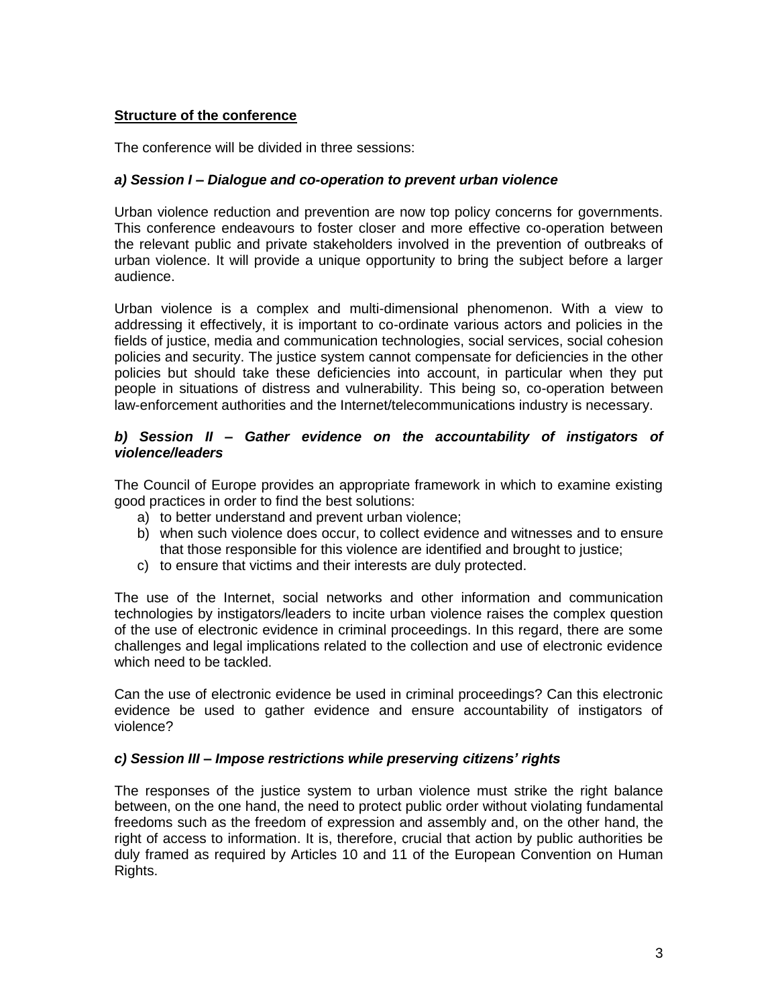### **Structure of the conference**

The conference will be divided in three sessions:

### *a) Session I – Dialogue and co-operation to prevent urban violence*

Urban violence reduction and prevention are now top policy concerns for governments. This conference endeavours to foster closer and more effective co-operation between the relevant public and private stakeholders involved in the prevention of outbreaks of urban violence. It will provide a unique opportunity to bring the subject before a larger audience.

Urban violence is a complex and multi-dimensional phenomenon. With a view to addressing it effectively, it is important to co-ordinate various actors and policies in the fields of justice, media and communication technologies, social services, social cohesion policies and security. The justice system cannot compensate for deficiencies in the other policies but should take these deficiencies into account, in particular when they put people in situations of distress and vulnerability. This being so, co-operation between law-enforcement authorities and the Internet/telecommunications industry is necessary.

### *b) Session II – Gather evidence on the accountability of instigators of violence/leaders*

The Council of Europe provides an appropriate framework in which to examine existing good practices in order to find the best solutions:

- a) to better understand and prevent urban violence;
- b) when such violence does occur, to collect evidence and witnesses and to ensure that those responsible for this violence are identified and brought to justice;
- c) to ensure that victims and their interests are duly protected.

The use of the Internet, social networks and other information and communication technologies by instigators/leaders to incite urban violence raises the complex question of the use of electronic evidence in criminal proceedings. In this regard, there are some challenges and legal implications related to the collection and use of electronic evidence which need to be tackled.

Can the use of electronic evidence be used in criminal proceedings? Can this electronic evidence be used to gather evidence and ensure accountability of instigators of violence?

### *c) Session III – Impose restrictions while preserving citizens' rights*

The responses of the justice system to urban violence must strike the right balance between, on the one hand, the need to protect public order without violating fundamental freedoms such as the freedom of expression and assembly and, on the other hand, the right of access to information. It is, therefore, crucial that action by public authorities be duly framed as required by Articles 10 and 11 of the European Convention on Human Rights.